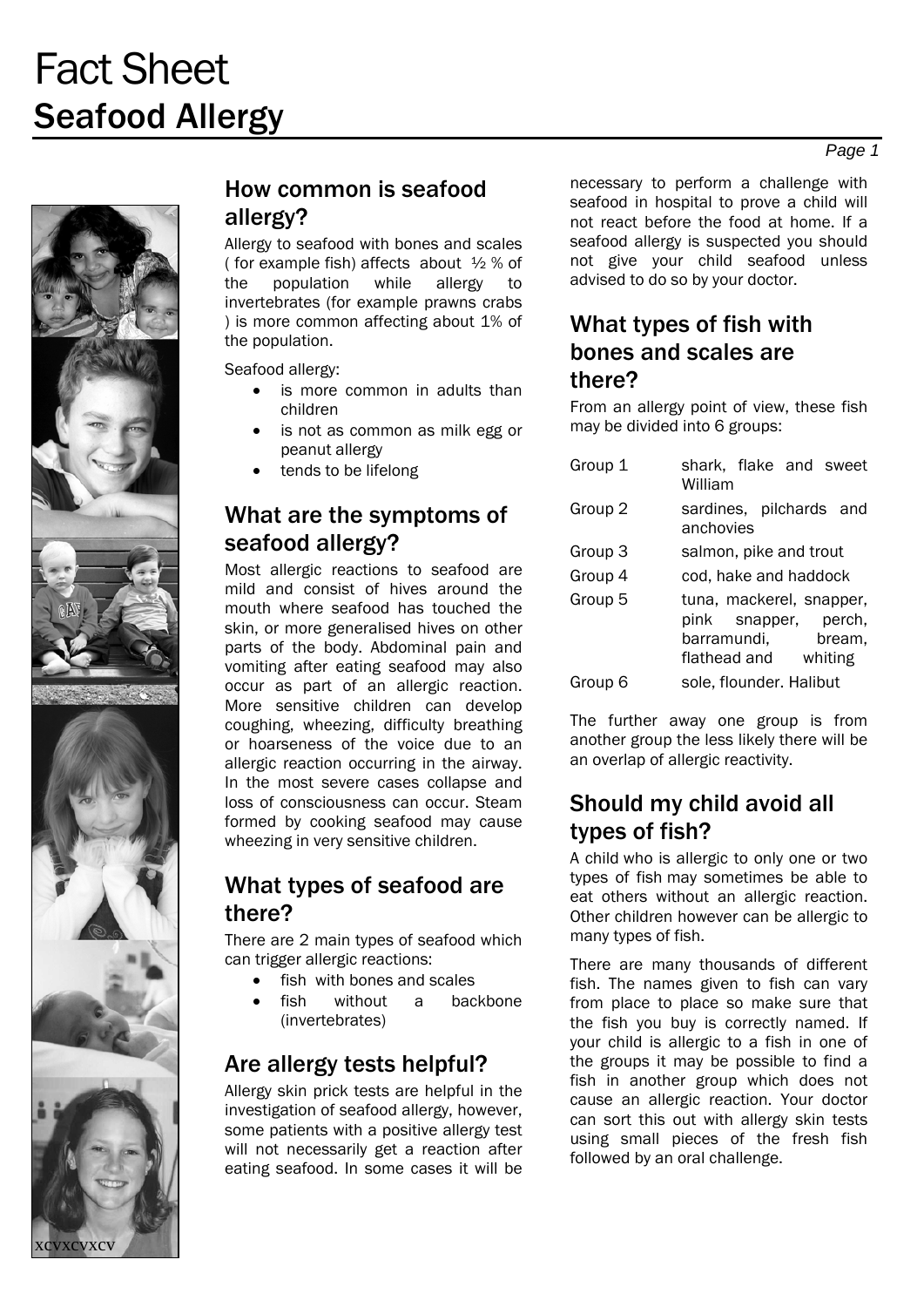

**XCVXCV** 

### How common is seafood allergy?

Allergy to seafood with bones and scales ( for example fish) affects about ½ % of the population while allergy to invertebrates (for example prawns crabs ) is more common affecting about 1% of the population.

Seafood allergy:

- is more common in adults than children
- is not as common as milk egg or peanut allergy
- tends to be lifelong

### What are the symptoms of seafood allergy?

Most allergic reactions to seafood are mild and consist of hives around the mouth where seafood has touched the skin, or more generalised hives on other parts of the body. Abdominal pain and vomiting after eating seafood may also occur as part of an allergic reaction. More sensitive children can develop coughing, wheezing, difficulty breathing or hoarseness of the voice due to an allergic reaction occurring in the airway. In the most severe cases collapse and loss of consciousness can occur. Steam formed by cooking seafood may cause wheezing in very sensitive children.

### What types of seafood are there?

There are 2 main types of seafood which can trigger allergic reactions:

- fish with bones and scales
- fish without a backbone (invertebrates)

## Are allergy tests helpful?

Allergy skin prick tests are helpful in the investigation of seafood allergy, however, some patients with a positive allergy test will not necessarily get a reaction after eating seafood. In some cases it will be

necessary to perform a challenge with seafood in hospital to prove a child will not react before the food at home. If a seafood allergy is suspected you should not give your child seafood unless advised to do so by your doctor.

### What types of fish with bones and scales are there?

From an allergy point of view, these fish may be divided into 6 groups:

| Group 1 | shark, flake and sweet<br>William                                                                 |
|---------|---------------------------------------------------------------------------------------------------|
| Group 2 | sardines, pilchards and<br>anchovies                                                              |
| Group 3 | salmon, pike and trout                                                                            |
| Group 4 | cod, hake and haddock                                                                             |
| Group 5 | tuna, mackerel, snapper,<br>pink snapper, perch,<br>barramundi,<br>bream,<br>flathead and whiting |
| Group 6 | sole, flounder. Halibut                                                                           |

The further away one group is from another group the less likely there will be an overlap of allergic reactivity.

## Should my child avoid all types of fish?

A child who is allergic to only one or two types of fish may sometimes be able to eat others without an allergic reaction. Other children however can be allergic to many types of fish.

There are many thousands of different fish. The names given to fish can vary from place to place so make sure that the fish you buy is correctly named. If your child is allergic to a fish in one of the groups it may be possible to find a fish in another group which does not cause an allergic reaction. Your doctor can sort this out with allergy skin tests using small pieces of the fresh fish followed by an oral challenge.

*Page 1*